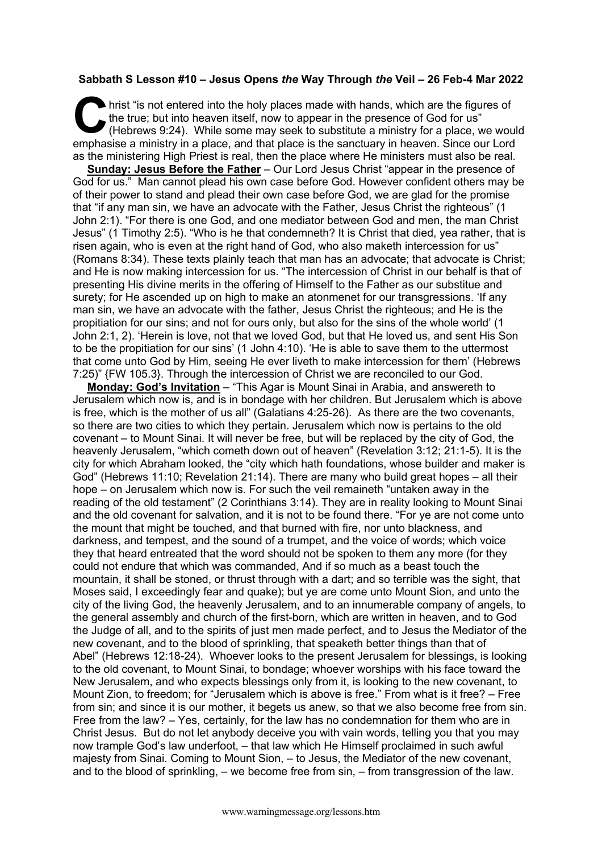## **Sabbath S Lesson #10 – Jesus Opens** *the* **Way Through** *the* **Veil – 26 Feb-4 Mar 2022**

hrist "is not entered into the holy places made with hands, which are the figures of the true; but into heaven itself, now to appear in the presence of God for us" (Hebrews 9:24). While some may seek to substitute a ministry for a place, we would emphasise a ministry in a place, and that place is the sanctuary in heaven. Since our Lord as the ministering High Priest is real, then the place where He ministers must also be real. C hristene

**Sunday: Jesus Before the Father** – Our Lord Jesus Christ "appear in the presence of God for us." Man cannot plead his own case before God. However confident others may be of their power to stand and plead their own case before God, we are glad for the promise that "if any man sin, we have an advocate with the Father, Jesus Christ the righteous" (1 John 2:1). "For there is one God, and one mediator between God and men, the man Christ Jesus" (1 Timothy 2:5). "Who is he that condemneth? It is Christ that died, yea rather, that is risen again, who is even at the right hand of God, who also maketh intercession for us" (Romans 8:34). These texts plainly teach that man has an advocate; that advocate is Christ; and He is now making intercession for us. "The intercession of Christ in our behalf is that of presenting His divine merits in the offering of Himself to the Father as our substitue and surety; for He ascended up on high to make an atonmenet for our transgressions. 'If any man sin, we have an advocate with the father, Jesus Christ the righteous; and He is the propitiation for our sins; and not for ours only, but also for the sins of the whole world' (1 John 2:1, 2). 'Herein is love, not that we loved God, but that He loved us, and sent His Son to be the propitiation for our sins' (1 John 4:10). 'He is able to save them to the uttermost that come unto God by Him, seeing He ever liveth to make intercession for them' (Hebrews 7:25)" {FW 105.3}. Through the intercession of Christ we are reconciled to our God.

**Monday: God's Invitation** – "This Agar is Mount Sinai in Arabia, and answereth to Jerusalem which now is, and is in bondage with her children. But Jerusalem which is above is free, which is the mother of us all" (Galatians 4:25-26). As there are the two covenants, so there are two cities to which they pertain. Jerusalem which now is pertains to the old covenant – to Mount Sinai. It will never be free, but will be replaced by the city of God, the heavenly Jerusalem, "which cometh down out of heaven" (Revelation 3:12; 21:1-5). It is the city for which Abraham looked, the "city which hath foundations, whose builder and maker is God" (Hebrews 11:10; Revelation 21:14). There are many who build great hopes – all their hope – on Jerusalem which now is. For such the veil remaineth "untaken away in the reading of the old testament" (2 Corinthians 3:14). They are in reality looking to Mount Sinai and the old covenant for salvation, and it is not to be found there. "For ye are not come unto the mount that might be touched, and that burned with fire, nor unto blackness, and darkness, and tempest, and the sound of a trumpet, and the voice of words; which voice they that heard entreated that the word should not be spoken to them any more (for they could not endure that which was commanded, And if so much as a beast touch the mountain, it shall be stoned, or thrust through with a dart; and so terrible was the sight, that Moses said, I exceedingly fear and quake); but ye are come unto Mount Sion, and unto the city of the living God, the heavenly Jerusalem, and to an innumerable company of angels, to the general assembly and church of the first-born, which are written in heaven, and to God the Judge of all, and to the spirits of just men made perfect, and to Jesus the Mediator of the new covenant, and to the blood of sprinkling, that speaketh better things than that of Abel" (Hebrews 12:18-24). Whoever looks to the present Jerusalem for blessings, is looking to the old covenant, to Mount Sinai, to bondage; whoever worships with his face toward the New Jerusalem, and who expects blessings only from it, is looking to the new covenant, to Mount Zion, to freedom; for "Jerusalem which is above is free." From what is it free? – Free from sin; and since it is our mother, it begets us anew, so that we also become free from sin. Free from the law? – Yes, certainly, for the law has no condemnation for them who are in Christ Jesus. But do not let anybody deceive you with vain words, telling you that you may now trample God's law underfoot, – that law which He Himself proclaimed in such awful majesty from Sinai. Coming to Mount Sion, – to Jesus, the Mediator of the new covenant, and to the blood of sprinkling, – we become free from sin, – from transgression of the law.